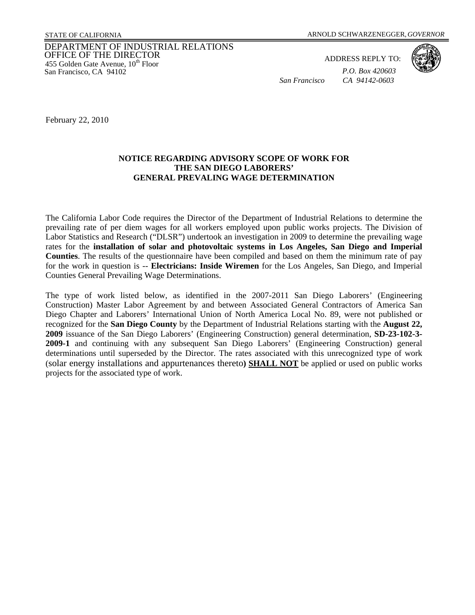## DEPARTMENT OF INDUSTRIAL RELATIONS OFFICE OF THE DIRECTOR 455 Golden Gate Avenue,  $10^{th}$  Floor San Francisco, CA 94102

ADDRESS REPLY TO: *P.O. Box 420603* 

*San Francisco CA 94142-0603* 



February 22, 2010

## **NOTICE REGARDING ADVISORY SCOPE OF WORK FOR THE SAN DIEGO LABORERS' GENERAL PREVALING WAGE DETERMINATION**

The California Labor Code requires the Director of the Department of Industrial Relations to determine the prevailing rate of per diem wages for all workers employed upon public works projects. The Division of Labor Statistics and Research ("DLSR") undertook an investigation in 2009 to determine the prevailing wage rates for the **installation of solar and photovoltaic systems in Los Angeles, San Diego and Imperial Counties**. The results of the questionnaire have been compiled and based on them the minimum rate of pay for the work in question is -- **Electricians: Inside Wiremen** for the Los Angeles, San Diego, and Imperial Counties General Prevailing Wage Determinations.

The type of work listed below, as identified in the 2007-2011 San Diego Laborers' (Engineering Construction) Master Labor Agreement by and between Associated General Contractors of America San Diego Chapter and Laborers' International Union of North America Local No. 89, were not published or recognized for the **San Diego County** by the Department of Industrial Relations starting with the **August 22, 2009** issuance of the San Diego Laborers' (Engineering Construction) general determination, **SD-23-102-3- 2009-1** and continuing with any subsequent San Diego Laborers' (Engineering Construction) general determinations until superseded by the Director. The rates associated with this unrecognized type of work (solar energy installations and appurtenances thereto**) SHALL NOT** be applied or used on public works projects for the associated type of work.